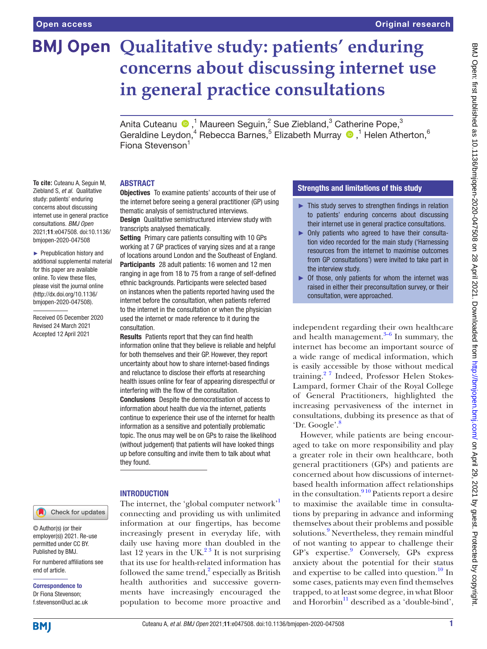**To cite:** Cuteanu A, Seguin M, Ziebland S, *et al*. Qualitative study: patients' enduring concerns about discussing internet use in general practice consultations. *BMJ Open* 2021;11:e047508. doi:10.1136/ bmjopen-2020-047508 ► Prepublication history and additional supplemental material for this paper are available online. To view these files, please visit the journal online (http://dx.doi.org/10.1136/ bmjopen-2020-047508). Received 05 December 2020 Revised 24 March 2021 Accepted 12 April 2021

# **BMJ Open Qualitative study: patients' enduring concerns about discussing internet use in general practice consultations**

Anita Cuteanu  $\bigcirc$  ,<sup>1</sup> Maureen Seguin,<sup>2</sup> Sue Ziebland,<sup>3</sup> Catherine Pope,<sup>3</sup> Geraldine Leydon,<sup>4</sup> Rebecca Barnes,<sup>5</sup> Elizabeth Murray <sup>1</sup>,<sup>1</sup> Helen Atherton,<sup>6</sup> Fiona Stevenson<sup>1</sup>

#### ABSTRACT

Objectives To examine patients' accounts of their use of the internet before seeing a general practitioner (GP) using thematic analysis of semistructured interviews.

**Design** Qualitative semistructured interview study with transcripts analysed thematically.

Setting Primary care patients consulting with 10 GPs working at 7 GP practices of varying sizes and at a range of locations around London and the Southeast of England. Participants 28 adult patients: 16 women and 12 men ranging in age from 18 to 75 from a range of self-defined ethnic backgrounds. Participants were selected based on instances when the patients reported having used the internet before the consultation, when patients referred to the internet in the consultation or when the physician used the internet or made reference to it during the consultation.

Results Patients report that they can find health information online that they believe is reliable and helpful for both themselves and their GP. However, they report uncertainty about how to share internet-based findings and reluctance to disclose their efforts at researching health issues online for fear of appearing disrespectful or interfering with the flow of the consultation. Conclusions Despite the democratisation of access to information about health due via the internet, patients continue to experience their use of the internet for health information as a sensitive and potentially problematic

topic. The onus may well be on GPs to raise the likelihood (without judgement) that patients will have looked things up before consulting and invite them to talk about what they found.

# **INTRODUCTION**

The internet, the 'global computer network' connecting and providing us with unlimited information at our fingertips, has become increasingly present in everyday life, with daily use having more than doubled in the last 12 years in the UK $^{23}$  It is not surprising that its use for health-related information has followed the same trend, $\frac{2}{3}$  especially as British health authorities and successive governments have increasingly encouraged the population to become more proactive and

# Strengths and limitations of this study

- ► This study serves to strengthen findings in relation to patients' enduring concerns about discussing their internet use in general practice consultations.
- ► Only patients who agreed to have their consultation video recorded for the main study ('Harnessing resources from the internet to maximise outcomes from GP consultations') were invited to take part in the interview study.
- $\triangleright$  Of those, only patients for whom the internet was raised in either their preconsultation survey, or their consultation, were approached.

independent regarding their own healthcare and health management. $3-6$  In summary, the internet has become an important source of a wide range of medical information, which is easily accessible by those without medical training.[2 7](#page-4-1) Indeed, Professor Helen Stokes-Lampard, former Chair of the Royal College of General Practitioners, highlighted the increasing pervasiveness of the internet in consultations, dubbing its presence as that of 'Dr. Google'[.8](#page-4-3)

However, while patients are being encouraged to take on more responsibility and play a greater role in their own healthcare, both general practitioners (GPs) and patients are concerned about how discussions of internetbased health information affect relationships in the consultation.<sup>910</sup> Patients report a desire to maximise the available time in consultations by preparing in advance and informing themselves about their problems and possible solutions.<sup>[9](#page-4-4)</sup> Nevertheless, they remain mindful of not wanting to appear to challenge their GP's expertise.<sup>[9](#page-4-4)</sup> Conversely, GPs express anxiety about the potential for their status and expertise to be called into question. $^{10}$  $^{10}$  $^{10}$  In some cases, patients may even find themselves trapped, to at least some degree, in what Bloor and Hororbin $^{11}$  $^{11}$  $^{11}$  described as a 'double-bind',

Check for updates

© Author(s) (or their employer(s)) 2021. Re-use permitted under CC BY. Published by BMJ.

For numbered affiliations see end of article.

Correspondence to Dr Fiona Stevenson; f.stevenson@ucl.ac.uk

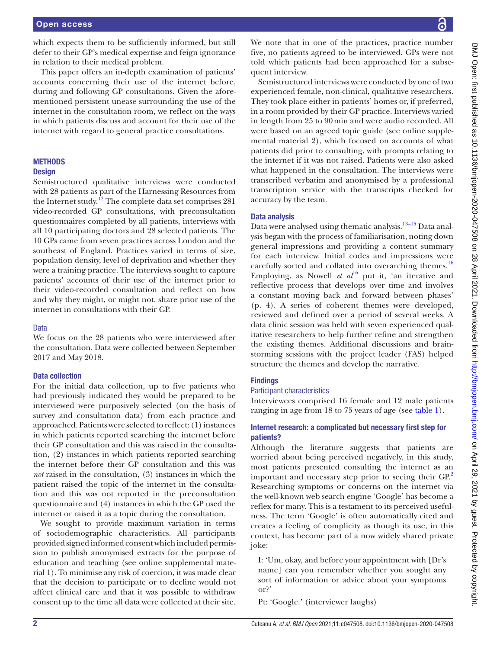which expects them to be sufficiently informed, but still defer to their GP's medical expertise and feign ignorance in relation to their medical problem.

This paper offers an in-depth examination of patients' accounts concerning their use of the internet before, during and following GP consultations. Given the aforementioned persistent unease surrounding the use of the internet in the consultation room, we reflect on the ways in which patients discuss and account for their use of the internet with regard to general practice consultations.

#### **METHODS**

#### **Design**

Semistructured qualitative interviews were conducted with 28 patients as part of the Harnessing Resources from the Internet study.<sup>12</sup> The complete data set comprises 281 video-recorded GP consultations, with preconsultation questionnaires completed by all patients, interviews with all 10 participating doctors and 28 selected patients. The 10 GPs came from seven practices across London and the southeast of England. Practices varied in terms of size, population density, level of deprivation and whether they were a training practice. The interviews sought to capture patients' accounts of their use of the internet prior to their video-recorded consultation and reflect on how and why they might, or might not, share prior use of the internet in consultations with their GP.

#### Data

We focus on the 28 patients who were interviewed after the consultation. Data were collected between September 2017 and May 2018.

#### Data collection

For the initial data collection, up to five patients who had previously indicated they would be prepared to be interviewed were purposively selected (on the basis of survey and consultation data) from each practice and approached. Patients were selected to reflect: (1) instances in which patients reported searching the internet before their GP consultation and this was raised in the consultation, (2) instances in which patients reported searching the internet before their GP consultation and this was *not* raised in the consultation, (3) instances in which the patient raised the topic of the internet in the consultation and this was not reported in the preconsultation questionnaire and (4) instances in which the GP used the internet or raised it as a topic during the consultation.

We sought to provide maximum variation in terms of sociodemographic characteristics. All participants provided signed informed consent which included permission to publish anonymised extracts for the purpose of education and teaching (see [online supplemental mate](https://dx.doi.org/10.1136/bmjopen-2020-047508)[rial 1](https://dx.doi.org/10.1136/bmjopen-2020-047508)). To minimise any risk of coercion, it was made clear that the decision to participate or to decline would not affect clinical care and that it was possible to withdraw consent up to the time all data were collected at their site.

We note that in one of the practices, practice number five, no patients agreed to be interviewed. GPs were not told which patients had been approached for a subsequent interview.

Semistructured interviews were conducted by one of two experienced female, non-clinical, qualitative researchers. They took place either in patients' homes or, if preferred, in a room provided by their GP practice. Interviews varied in length from 25 to 90min and were audio recorded. All were based on an agreed topic guide (see [online supple](https://dx.doi.org/10.1136/bmjopen-2020-047508)[mental material 2](https://dx.doi.org/10.1136/bmjopen-2020-047508)), which focused on accounts of what patients did prior to consulting, with prompts relating to the internet if it was not raised. Patients were also asked what happened in the consultation. The interviews were transcribed verbatim and anonymised by a professional transcription service with the transcripts checked for accuracy by the team.

## Data analysis

Data were analysed using thematic analysis.<sup>13–15</sup> Data analysis began with the process of familiarisation, noting down general impressions and providing a content summary for each interview. Initial codes and impressions were carefully sorted and collated into overarching themes.<sup>[16](#page-5-4)</sup> Employing, as Nowell *et*  $al^{16}$  $al^{16}$  $al^{16}$  put it, 'an iterative and reflective process that develops over time and involves a constant moving back and forward between phases' (p. 4). A series of coherent themes were developed, reviewed and defined over a period of several weeks. A data clinic session was held with seven experienced qualitative researchers to help further refine and strengthen the existing themes. Additional discussions and brainstorming sessions with the project leader (FAS) helped structure the themes and develop the narrative.

### **Findings**

# Participant characteristics

Interviewees comprised 16 female and 12 male patients ranging in age from 18 to 75 years of age (see [table](#page-2-0) 1).

#### Internet research: a complicated but necessary first step for patients?

Although the literature suggests that patients are worried about being perceived negatively, in this study, most patients presented consulting the internet as an important and necessary step prior to seeing their GP.<sup>2</sup> Researching symptoms or concerns on the internet via the well-known web search engine 'Google' has become a reflex for many. This is a testament to its perceived usefulness. The term 'Google' is often automatically cited and creates a feeling of complicity as though its use, in this context, has become part of a now widely shared private joke:

I: 'Um, okay, and before your appointment with [Dr's name] can you remember whether you sought any sort of information or advice about your symptoms or?'

Pt: 'Google.' (interviewer laughs)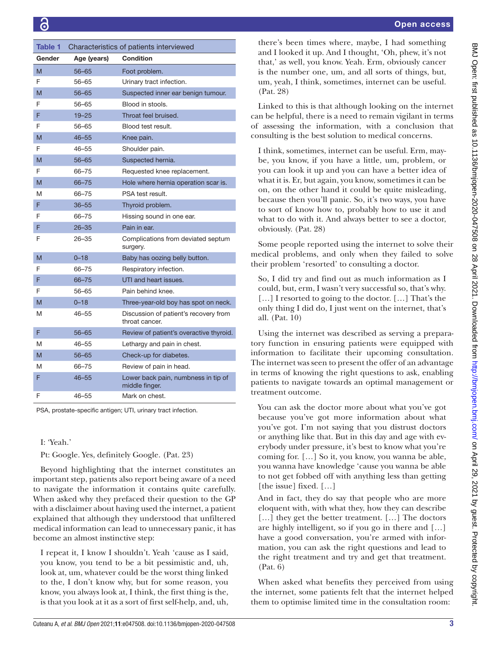<span id="page-2-0"></span>

| Table 1 | Characteristics of patients interviewed |                                                         |
|---------|-----------------------------------------|---------------------------------------------------------|
| Gender  | Age (years)                             | <b>Condition</b>                                        |
| M       | 56–65                                   | Foot problem.                                           |
| F       | 56-65                                   | Urinary tract infection.                                |
| M       | $56 - 65$                               | Suspected inner ear benign tumour.                      |
| F       | 56–65                                   | Blood in stools.                                        |
| F       | $19 - 25$                               | Throat feel bruised.                                    |
| F       | 56-65                                   | Blood test result.                                      |
| M       | $46 - 55$                               | Knee pain.                                              |
| F       | $46 - 55$                               | Shoulder pain.                                          |
| M       | $56 - 65$                               | Suspected hernia.                                       |
| F       | 66-75                                   | Requested knee replacement.                             |
| M       | 66-75                                   | Hole where hernia operation scar is.                    |
| M       | 66-75                                   | PSA test result.                                        |
| F       | $36 - 55$                               | Thyroid problem.                                        |
| F       | 66-75                                   | Hissing sound in one ear.                               |
| F       | $26 - 35$                               | Pain in ear.                                            |
| F       | 26–35                                   | Complications from deviated septum<br>surgery.          |
| M       | $0 - 18$                                | Baby has oozing belly button.                           |
| F       | 66–75                                   | Respiratory infection.                                  |
| F       | 66-75                                   | UTI and heart issues.                                   |
| F       | 56-65                                   | Pain behind knee.                                       |
| M       | $0 - 18$                                | Three-year-old boy has spot on neck.                    |
| M       | 46–55                                   | Discussion of patient's recovery from<br>throat cancer. |
| F       | $56 - 65$                               | Review of patient's overactive thyroid.                 |
| M       | $46 - 55$                               | Lethargy and pain in chest.                             |
| M       | $56 - 65$                               | Check-up for diabetes.                                  |
| M       | 66-75                                   | Review of pain in head.                                 |
| F       | $46 - 55$                               | Lower back pain, numbness in tip of<br>middle finger.   |
| F       | 46–55                                   | Mark on chest.                                          |

PSA, prostate-specific antigen; UTI, urinary tract infection.

# I: 'Yeah.'

Pt: Google. Yes, definitely Google. (Pat. 23)

Beyond highlighting that the internet constitutes an important step, patients also report being aware of a need to navigate the information it contains quite carefully. When asked why they prefaced their question to the GP with a disclaimer about having used the internet, a patient explained that although they understood that unfiltered medical information can lead to unnecessary panic, it has become an almost instinctive step:

I repeat it, I know I shouldn't. Yeah 'cause as I said, you know, you tend to be a bit pessimistic and, uh, look at, um, whatever could be the worst thing linked to the, I don't know why, but for some reason, you know, you always look at, I think, the first thing is the, is that you look at it as a sort of first self-help, and, uh, there's been times where, maybe, I had something and I looked it up. And I thought, 'Oh, phew, it's not that,' as well, you know. Yeah. Erm, obviously cancer is the number one, um, and all sorts of things, but, um, yeah, I think, sometimes, internet can be useful. (Pat. 28)

Linked to this is that although looking on the internet can be helpful, there is a need to remain vigilant in terms of assessing the information, with a conclusion that consulting is the best solution to medical concerns.

I think, sometimes, internet can be useful. Erm, maybe, you know, if you have a little, um, problem, or you can look it up and you can have a better idea of what it is. Er, but again, you know, sometimes it can be on, on the other hand it could be quite misleading, because then you'll panic. So, it's two ways, you have to sort of know how to, probably how to use it and what to do with it. And always better to see a doctor, obviously. (Pat. 28)

Some people reported using the internet to solve their medical problems, and only when they failed to solve their problem 'resorted' to consulting a doctor.

So, I did try and find out as much information as I could, but, erm, I wasn't very successful so, that's why. […] I resorted to going to the doctor. […] That's the only thing I did do, I just went on the internet, that's all. (Pat. 10)

Using the internet was described as serving a preparatory function in ensuring patients were equipped with information to facilitate their upcoming consultation. The internet was seen to present the offer of an advantage in terms of knowing the right questions to ask, enabling patients to navigate towards an optimal management or treatment outcome.

You can ask the doctor more about what you've got because you've got more information about what you've got. I'm not saying that you distrust doctors or anything like that. But in this day and age with everybody under pressure, it's best to know what you're coming for. […] So it, you know, you wanna be able, you wanna have knowledge 'cause you wanna be able to not get fobbed off with anything less than getting [the issue] fixed. [...]

And in fact, they do say that people who are more eloquent with, with what they, how they can describe [...] they get the better treatment. [...] The doctors are highly intelligent, so if you go in there and […] have a good conversation, you're armed with information, you can ask the right questions and lead to the right treatment and try and get that treatment. (Pat. 6)

When asked what benefits they perceived from using the internet, some patients felt that the internet helped them to optimise limited time in the consultation room: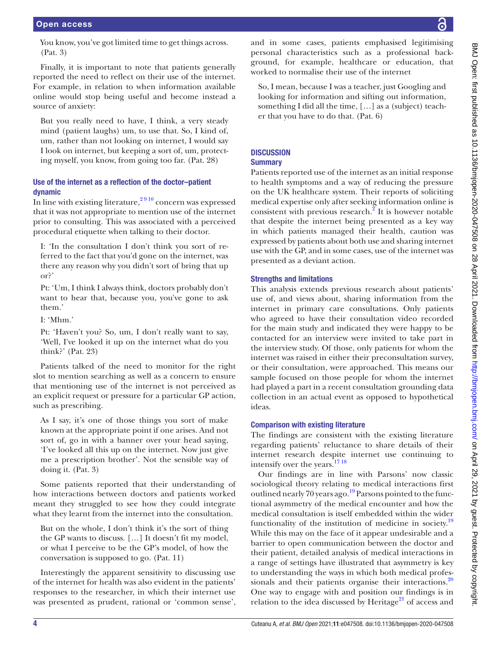You know, you've got limited time to get things across. (Pat. 3)

Finally, it is important to note that patients generally reported the need to reflect on their use of the internet. For example, in relation to when information available online would stop being useful and become instead a source of anxiety:

But you really need to have, I think, a very steady mind (patient laughs) um, to use that. So, I kind of, um, rather than not looking on internet, I would say I look on internet, but keeping a sort of, um, protecting myself, you know, from going too far. (Pat. 28)

# Use of the internet as a reflection of the doctor–patient dynamic

In line with existing literature, $2\frac{910}{910}$  concern was expressed that it was not appropriate to mention use of the internet prior to consulting. This was associated with a perceived procedural etiquette when talking to their doctor.

I: 'In the consultation I don't think you sort of referred to the fact that you'd gone on the internet, was there any reason why you didn't sort of bring that up or?'

Pt: 'Um, I think I always think, doctors probably don't want to hear that, because you, you've gone to ask them.'

I: 'Mhm.'

Pt: 'Haven't you? So, um, I don't really want to say, 'Well, I've looked it up on the internet what do you think?' (Pat. 23)

Patients talked of the need to monitor for the right slot to mention searching as well as a concern to ensure that mentioning use of the internet is not perceived as an explicit request or pressure for a particular GP action, such as prescribing.

As I say, it's one of those things you sort of make known at the appropriate point if one arises. And not sort of, go in with a banner over your head saying, 'I've looked all this up on the internet. Now just give me a prescription brother'. Not the sensible way of doing it. (Pat. 3)

Some patients reported that their understanding of how interactions between doctors and patients worked meant they struggled to see how they could integrate what they learnt from the internet into the consultation.

But on the whole, I don't think it's the sort of thing the GP wants to discuss. […] It doesn't fit my model, or what I perceive to be the GP's model, of how the conversation is supposed to go. (Pat. 11)

Interestingly the apparent sensitivity to discussing use of the internet for health was also evident in the patients' responses to the researcher, in which their internet use was presented as prudent, rational or 'common sense',

and in some cases, patients emphasised legitimising personal characteristics such as a professional background, for example, healthcare or education, that worked to normalise their use of the internet

So, I mean, because I was a teacher, just Googling and looking for information and sifting out information, something I did all the time, […] as a (subject) teacher that you have to do that. (Pat. 6)

# **DISCUSSION**

# **Summary**

Patients reported use of the internet as an initial response to health symptoms and a way of reducing the pressure on the UK healthcare system. Their reports of soliciting medical expertise only after seeking information online is consistent with previous research. $^2$  It is however notable that despite the internet being presented as a key way in which patients managed their health, caution was expressed by patients about both use and sharing internet use with the GP, and in some cases, use of the internet was presented as a deviant action.

# Strengths and limitations

This analysis extends previous research about patients' use of, and views about, sharing information from the internet in primary care consultations. Only patients who agreed to have their consultation video recorded for the main study and indicated they were happy to be contacted for an interview were invited to take part in the interview study. Of those, only patients for whom the internet was raised in either their preconsultation survey, or their consultation, were approached. This means our sample focused on those people for whom the internet had played a part in a recent consultation grounding data collection in an actual event as opposed to hypothetical ideas.

# Comparison with existing literature

The findings are consistent with the existing literature regarding patients' reluctance to share details of their internet research despite internet use continuing to intensify over the years.<sup>1718</sup>

Our findings are in line with Parsons' now classic sociological theory relating to medical interactions first outlined nearly 70 years ago.<sup>19</sup> Parsons pointed to the functional asymmetry of the medical encounter and how the medical consultation is itself embedded within the wider functionality of the institution of medicine in society.<sup>[19](#page-5-6)</sup> While this may on the face of it appear undesirable and a barrier to open communication between the doctor and their patient, detailed analysis of medical interactions in a range of settings have illustrated that asymmetry is key to understanding the ways in which both medical profes-sionals and their patients organise their interactions.<sup>[20](#page-5-7)</sup> One way to engage with and position our findings is in relation to the idea discussed by Heritage<sup>21</sup> of access and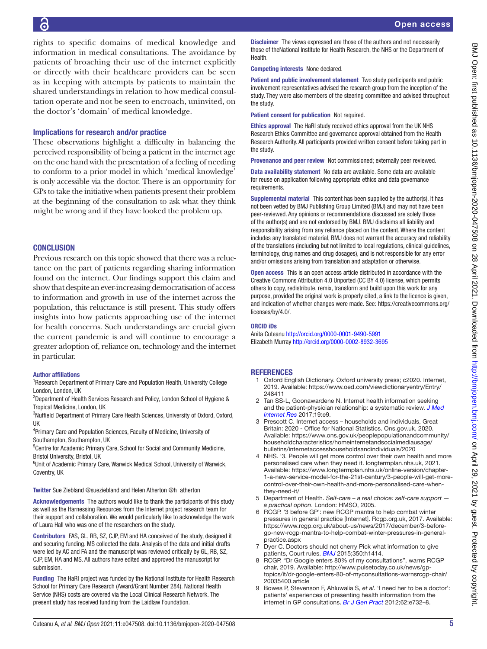# 6

rights to specific domains of medical knowledge and information in medical consultations. The avoidance by patients of broaching their use of the internet explicitly or directly with their healthcare providers can be seen as in keeping with attempts by patients to maintain the shared understandings in relation to how medical consultation operate and not be seen to encroach, uninvited, on the doctor's 'domain' of medical knowledge.

# Implications for research and/or practice

These observations highlight a difficulty in balancing the perceived responsibility of being a patient in the internet age on the one hand with the presentation of a feeling of needing to conform to a prior model in which 'medical knowledge' is only accessible via the doctor. There is an opportunity for GPs to take the initiative when patients present their problem at the beginning of the consultation to ask what they think might be wrong and if they have looked the problem up.

# **CONCLUSION**

Previous research on this topic showed that there was a reluctance on the part of patients regarding sharing information found on the internet. Our findings support this claim and show that despite an ever-increasing democratisation of access to information and growth in use of the internet across the population, this reluctance is still present. This study offers insights into how patients approaching use of the internet for health concerns. Such understandings are crucial given the current pandemic is and will continue to encourage a greater adoption of, reliance on, technology and the internet in particular.

#### Author affiliations

<sup>1</sup> Research Department of Primary Care and Population Health, University College London, London, UK

<sup>2</sup>Department of Health Services Research and Policy, London School of Hygiene & Tropical Medicine, London, UK

<sup>3</sup>Nuffield Department of Primary Care Health Sciences, University of Oxford, Oxford, UK

<sup>4</sup>Primary Care and Population Sciences, Faculty of Medicine, University of Southampton, Southampton, UK

<sup>5</sup>Centre for Academic Primary Care, School for Social and Community Medicine, Bristol University, Bristol, UK

<sup>6</sup>Unit of Academic Primary Care, Warwick Medical School, University of Warwick, Coventry, UK

Twitter Sue Ziebland [@sueziebland](https://twitter.com/sueziebland) and Helen Atherton [@h\\_atherton](https://twitter.com/h_atherton)

Acknowledgements The authors would like to thank the participants of this study as well as the Harnessing Resources from the Internet project research team for their support and collaboration. We would particularly like to acknowledge the work of Laura Hall who was one of the researchers on the study.

Contributors FAS, GL, RB, SZ, CJP, EM and HA conceived of the study, designed it and securing funding. MS collected the data. Analysis of the data and initial drafts were led by AC and FA and the manuscript was reviewed critically by GL, RB, SZ, CJP, EM, HA and MS. All authors have edited and approved the manuscript for submission.

Funding The HaRI project was funded by the National Institute for Health Research School for Primary Care Research (Award/Grant Number 284). National Health Service (NHS) costs are covered via the Local Clinical Research Network. The present study has received funding from the Laidlaw Foundation.

Disclaimer The views expressed are those of the authors and not necessarily those of theNational Institute for Health Research, the NHS or the Department of **Health** 

Competing interests None declared.

Patient and public involvement statement Two study participants and public involvement representatives advised the research group from the inception of the study. They were also members of the steering committee and advised throughout the study.

Patient consent for publication Not required.

Ethics approval The HaRI study received ethics approval from the UK NHS Research Ethics Committee and governance approval obtained from the Health Research Authority. All participants provided written consent before taking part in the study.

Provenance and peer review Not commissioned; externally peer reviewed.

Data availability statement No data are available. Some data are available for reuse on application following appropriate ethics and data governance requirements.

Supplemental material This content has been supplied by the author(s). It has not been vetted by BMJ Publishing Group Limited (BMJ) and may not have been peer-reviewed. Any opinions or recommendations discussed are solely those of the author(s) and are not endorsed by BMJ. BMJ disclaims all liability and responsibility arising from any reliance placed on the content. Where the content includes any translated material, BMJ does not warrant the accuracy and reliability of the translations (including but not limited to local regulations, clinical guidelines, terminology, drug names and drug dosages), and is not responsible for any error and/or omissions arising from translation and adaptation or otherwise.

Open access This is an open access article distributed in accordance with the Creative Commons Attribution 4.0 Unported (CC BY 4.0) license, which permits others to copy, redistribute, remix, transform and build upon this work for any purpose, provided the original work is properly cited, a link to the licence is given, and indication of whether changes were made. See: [https://creativecommons.org/](https://creativecommons.org/licenses/by/4.0/) [licenses/by/4.0/](https://creativecommons.org/licenses/by/4.0/).

#### ORCID iDs

Anita Cuteanu<http://orcid.org/0000-0001-9490-5991> Elizabeth Murray<http://orcid.org/0000-0002-8932-3695>

# **REFERENCES**

- <span id="page-4-0"></span>Oxford English Dictionary. Oxford university press; c2020. Internet, 2019. Available: [https://www.oed.com/viewdictionaryentry/Entry/](https://www.oed.com/viewdictionaryentry/Entry/248411) [248411](https://www.oed.com/viewdictionaryentry/Entry/248411)
- <span id="page-4-1"></span>2 Tan SS-L, Goonawardene N. Internet health information seeking and the patient-physician relationship: a systematic review. *[J Med](http://dx.doi.org/10.2196/jmir.5729)  [Internet Res](http://dx.doi.org/10.2196/jmir.5729)* 2017;19:e9.
- <span id="page-4-2"></span>3 Prescott C. Internet access – households and individuals, Great Britain: 2020 - Office for National Statistics. Ons.gov.uk, 2020. Available: [https://www.ons.gov.uk/peoplepopulationandcommunity/](https://www.ons.gov.uk/peoplepopulationandcommunity/householdcharacteristics/homeinternetandsocialmediausage/bulletins/internetaccesshouseholdsandindividuals/2020) [householdcharacteristics/homeinternetandsocialmediausage/](https://www.ons.gov.uk/peoplepopulationandcommunity/householdcharacteristics/homeinternetandsocialmediausage/bulletins/internetaccesshouseholdsandindividuals/2020) [bulletins/internetaccesshouseholdsandindividuals/2020](https://www.ons.gov.uk/peoplepopulationandcommunity/householdcharacteristics/homeinternetandsocialmediausage/bulletins/internetaccesshouseholdsandindividuals/2020)
- 4 NHS. '3. People will get more control over their own health and more personalised care when they need it. longtermplan.nhs.uk, 2021. Available: [https://www.longtermplan.nhs.uk/online-version/chapter-](https://www.longtermplan.nhs.uk/online-version/chapter-1-a-new-service-model-for-the-21st-century/3-people-will-get-more-control-over-their-own-health-and-more-personalised-care-when-they-need-it/)[1-a-new-service-model-for-the-21st-century/3-people-will-get-more](https://www.longtermplan.nhs.uk/online-version/chapter-1-a-new-service-model-for-the-21st-century/3-people-will-get-more-control-over-their-own-health-and-more-personalised-care-when-they-need-it/)[control-over-their-own-health-and-more-personalised-care-when](https://www.longtermplan.nhs.uk/online-version/chapter-1-a-new-service-model-for-the-21st-century/3-people-will-get-more-control-over-their-own-health-and-more-personalised-care-when-they-need-it/)[they-need-it/](https://www.longtermplan.nhs.uk/online-version/chapter-1-a-new-service-model-for-the-21st-century/3-people-will-get-more-control-over-their-own-health-and-more-personalised-care-when-they-need-it/)
- 5 Department of Health. *Self-care a real choice: self-care support a practical option*. London: HMSO, 2005.
- 6 RCGP. '3 before GP': new RCGP mantra to help combat winter pressures in general practice [Internet]. Rcgp.org.uk, 2017. Available: [https://www.rcgp.org.uk/about-us/news/2017/december/3-before](https://www.rcgp.org.uk/about-us/news/2017/december/3-before-gp-new-rcgp-mantra-to-help-combat-winter-pressures-in-general-practice.aspx)[gp-new-rcgp-mantra-to-help-combat-winter-pressures-in-general](https://www.rcgp.org.uk/about-us/news/2017/december/3-before-gp-new-rcgp-mantra-to-help-combat-winter-pressures-in-general-practice.aspx)[practice.aspx](https://www.rcgp.org.uk/about-us/news/2017/december/3-before-gp-new-rcgp-mantra-to-help-combat-winter-pressures-in-general-practice.aspx)
- 7 Dyer C. Doctors should not cherry Pick what information to give patients, Court rules. *[BMJ](http://dx.doi.org/10.1136/bmj.h1414)* 2015;350:h1414.
- <span id="page-4-3"></span>RCGP. "Dr Google enters 80% of my consultations", warns RCGP chair, 2019. Available: [http://www.pulsetoday.co.uk/news/gp](http://www.pulsetoday.co.uk/news/gp-topics/it/dr-google-enters-80-of-myconsultations-warnsrcgp-chair/20035400.article)[topics/it/dr-google-enters-80-of-myconsultations-warnsrcgp-chair/](http://www.pulsetoday.co.uk/news/gp-topics/it/dr-google-enters-80-of-myconsultations-warnsrcgp-chair/20035400.article) [20035400.article](http://www.pulsetoday.co.uk/news/gp-topics/it/dr-google-enters-80-of-myconsultations-warnsrcgp-chair/20035400.article)
- <span id="page-4-4"></span>9 Bowes P, Stevenson F, Ahluwalia S, *et al*. 'I need her to be a doctor': patients' experiences of presenting health information from the internet in GP consultations. *[Br J Gen Pract](http://dx.doi.org/10.3399/bjgp12X658250)* 2012;62:e732–8.